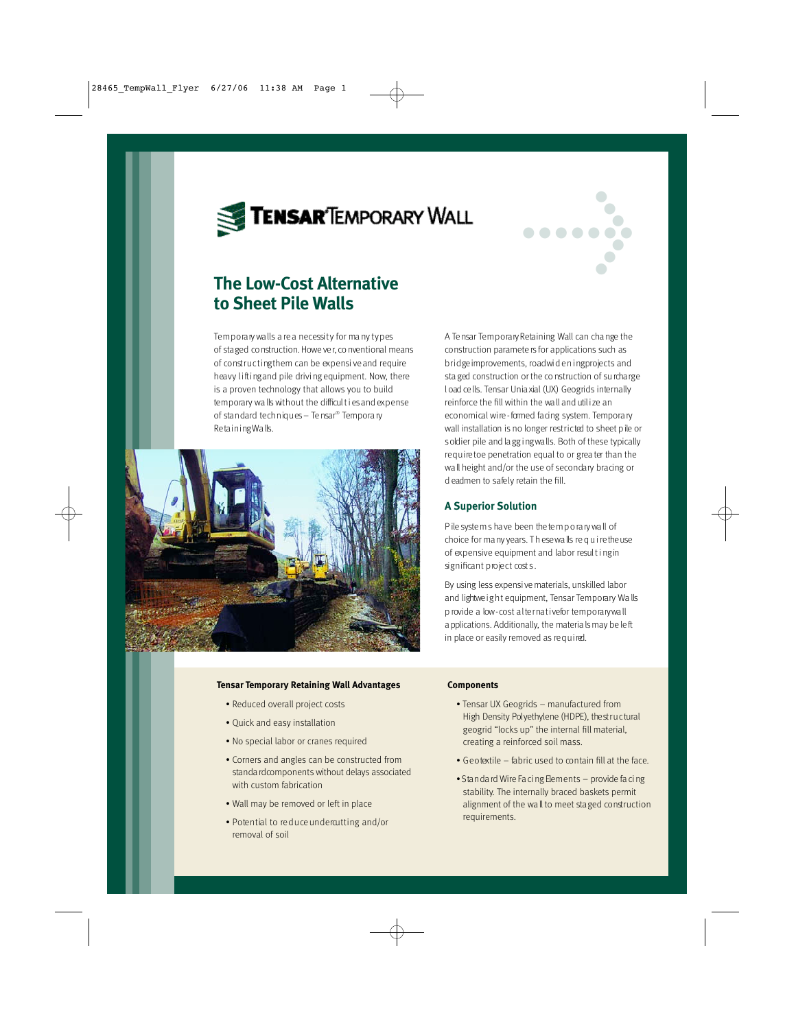



# **The Low-Cost Alternative to Sheet Pile Walls**

Tem porary walls a re a necessity for many types of staged construction. Howe ver, conventional means of constructing them can be expensive and require heavy lifting and pile driving equipment. Now, there is a proven technology that allows you to build temporary wa lls without the difficul t i es and expense of stan dard techniques - Tensar® Tempora ry Retaining Walls.



#### **Tensar Temporary Retaining Wall Advantages**

- Reduced overall project costs
- Quick and easy installation
- No special labor or cranes required
- Corners and angles can be constructed from standa rd components without delays associated with custom fabrication
- Wall may be removed or left in place
- $\bullet$  Potential to reduce underquiting and/or removal of soil

A Te nsar Temporary Retaining Wall can cha nge the construction paramete rs for applications such as bridge improvements, road widen ing projects and sta ged construction or the construction of surcharge l oad ce lls. Tensar Unia xial (UX) Geogrids internally reinforce the fill within the wall and utilize an economical wire - formed facing system. Tempora ry wall installation is no longer restricted to sheet pile or s oldier pile and lagg ing walls. Both of these typically require toe penetration equal to or grea ter than the wall height and/or the use of secondary bracing or d eadmen to safely retain the fill.

## **A Superior Solution**

P ile systems have been the temporary wall of choice for ma ny years. Th ese walls require the use of expensive equipment and labor result ingin significant project costs.

By using less expensi ve materials, unskilled labor and lightweight equipment, Tensar Temporary Walls p rovide a low-cost alternative for temporary wall a pplications. Additionally, the materia ls may be left in place or easily removed as required.

#### **Components**

- Tensar UX Geogrids manufactured from High Density Polyethylene (HDPE), the structural geogrid "locks up" the internal fill material, creating a reinforced soil mass.
- $\bullet$  Geotextile fabric used to contain fill at the face.
- Stan dard Wire Facing Elements provide facing stability. The internally braced baskets permit alignment of the wall to meet staged construction requirements.